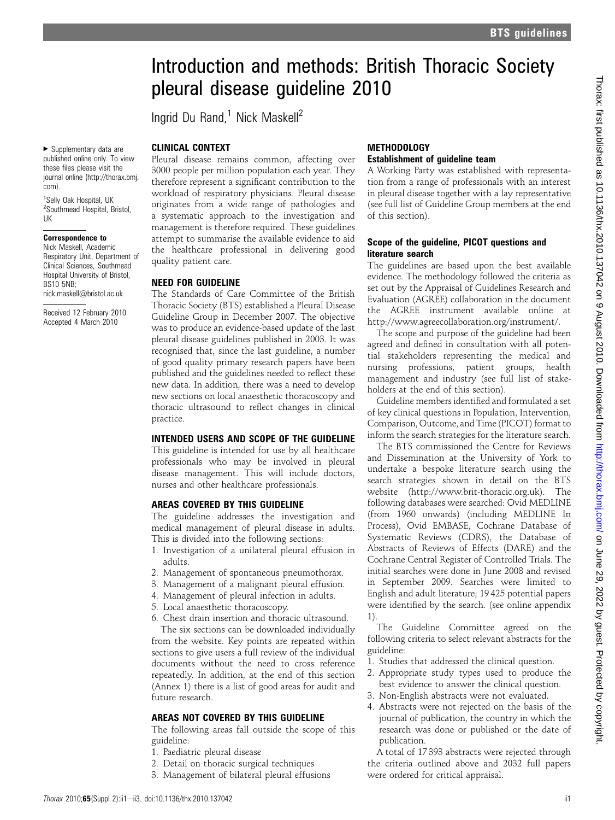# Introduction and methods: British Thoracic Society pleural disease guideline 2010

Ingrid Du Rand, $1$  Nick Maskell<sup>2</sup>

### CLINICAL CONTEXT

▶ Supplementary data are published online only. To view these files please visit the journal online (http://thorax.bmj. com).

<sup>1</sup>Selly Oak Hospital, UK <sup>2</sup>Southmead Hospital, Bristol, UK

# Correspondence to

Nick Maskell, Academic Respiratory Unit, Department of Clinical Sciences, Southmead Hospital University of Bristol, BS10 5NB; nick.maskell@bristol.ac.uk

Received 12 February 2010 Accepted 4 March 2010

Pleural disease remains common, affecting over 3000 people per million population each year. They therefore represent a significant contribution to the workload of respiratory physicians. Pleural disease originates from a wide range of pathologies and a systematic approach to the investigation and management is therefore required. These guidelines attempt to summarise the available evidence to aid the healthcare professional in delivering good quality patient care.

# NEED FOR GUIDELINE

The Standards of Care Committee of the British Thoracic Society (BTS) established a Pleural Disease Guideline Group in December 2007. The objective was to produce an evidence-based update of the last pleural disease guidelines published in 2003. It was recognised that, since the last guideline, a number of good quality primary research papers have been published and the guidelines needed to reflect these new data. In addition, there was a need to develop new sections on local anaesthetic thoracoscopy and thoracic ultrasound to reflect changes in clinical practice.

# INTENDED USERS AND SCOPE OF THE GUIDELINE

This guideline is intended for use by all healthcare professionals who may be involved in pleural disease management. This will include doctors, nurses and other healthcare professionals.

# AREAS COVERED BY THIS GUIDELINE

The guideline addresses the investigation and medical management of pleural disease in adults. This is divided into the following sections:

- 1. Investigation of a unilateral pleural effusion in adults.
- 2. Management of spontaneous pneumothorax.
- 3. Management of a malignant pleural effusion.
- 4. Management of pleural infection in adults.
- 5. Local anaesthetic thoracoscopy.
- 6. Chest drain insertion and thoracic ultrasound.

The six sections can be downloaded individually from the website. Key points are repeated within sections to give users a full review of the individual documents without the need to cross reference repeatedly. In addition, at the end of this section (Annex 1) there is a list of good areas for audit and future research.

# AREAS NOT COVERED BY THIS GUIDELINE

The following areas fall outside the scope of this guideline:

- 1. Paediatric pleural disease
- 2. Detail on thoracic surgical techniques
- 3. Management of bilateral pleural effusions

### **METHODOLOGY** Establishment of guideline team

A Working Party was established with representation from a range of professionals with an interest in pleural disease together with a lay representative (see full list of Guideline Group members at the end of this section).

### Scope of the guideline, PICOT questions and literature search

The guidelines are based upon the best available evidence. The methodology followed the criteria as set out by the Appraisal of Guidelines Research and Evaluation (AGREE) collaboration in the document the AGREE instrument available online at http://www.agreecollaboration.org/instrument/.

The scope and purpose of the guideline had been agreed and defined in consultation with all potential stakeholders representing the medical and nursing professions, patient groups, health management and industry (see full list of stakeholders at the end of this section).

Guideline members identified and formulated a set of key clinical questions in Population, Intervention, Comparison, Outcome, and Time (PICOT) format to inform the search strategies for the literature search.

The BTS commissioned the Centre for Reviews and Dissemination at the University of York to undertake a bespoke literature search using the search strategies shown in detail on the BTS website (http://www.brit-thoracic.org.uk). The following databases were searched: Ovid MEDLINE (from 1960 onwards) (including MEDLINE In Process), Ovid EMBASE, Cochrane Database of Systematic Reviews (CDRS), the Database of Abstracts of Reviews of Effects (DARE) and the Cochrane Central Register of Controlled Trials. The initial searches were done in June 2008 and revised in September 2009. Searches were limited to English and adult literature; 19 425 potential papers were identified by the search. (see online appendix 1).

The Guideline Committee agreed on the following criteria to select relevant abstracts for the guideline:

- 1. Studies that addressed the clinical question.
- 2. Appropriate study types used to produce the best evidence to answer the clinical question.
- 3. Non-English abstracts were not evaluated.
- 4. Abstracts were not rejected on the basis of the journal of publication, the country in which the research was done or published or the date of publication.

A total of 17 393 abstracts were rejected through the criteria outlined above and 2032 full papers were ordered for critical appraisal.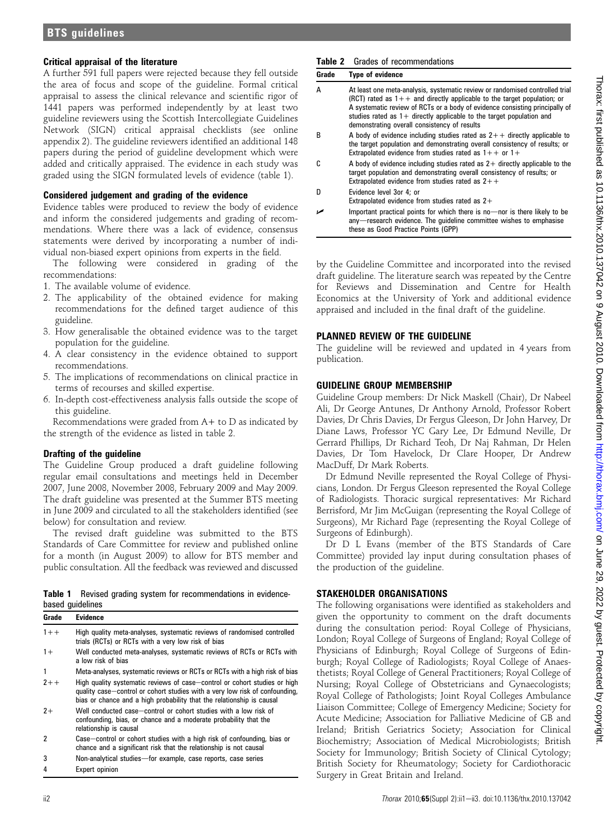# BTS guidelines

### Critical appraisal of the literature

A further 591 full papers were rejected because they fell outside the area of focus and scope of the guideline. Formal critical appraisal to assess the clinical relevance and scientific rigor of 1441 papers was performed independently by at least two guideline reviewers using the Scottish Intercollegiate Guidelines Network (SIGN) critical appraisal checklists (see online appendix 2). The guideline reviewers identified an additional 148 papers during the period of guideline development which were added and critically appraised. The evidence in each study was graded using the SIGN formulated levels of evidence (table 1).

### Considered judgement and grading of the evidence

Evidence tables were produced to review the body of evidence and inform the considered judgements and grading of recommendations. Where there was a lack of evidence, consensus statements were derived by incorporating a number of individual non-biased expert opinions from experts in the field.

The following were considered in grading of the recommendations:

- 1. The available volume of evidence.
- 2. The applicability of the obtained evidence for making recommendations for the defined target audience of this guideline.
- 3. How generalisable the obtained evidence was to the target population for the guideline.
- 4. A clear consistency in the evidence obtained to support recommendations.
- 5. The implications of recommendations on clinical practice in terms of recourses and skilled expertise.
- 6. In-depth cost-effectiveness analysis falls outside the scope of this guideline.

Recommendations were graded from  $A+$  to  $D$  as indicated by the strength of the evidence as listed in table 2.

### Drafting of the guideline

The Guideline Group produced a draft guideline following regular email consultations and meetings held in December 2007, June 2008, November 2008, February 2009 and May 2009. The draft guideline was presented at the Summer BTS meeting in June 2009 and circulated to all the stakeholders identified (see below) for consultation and review.

The revised draft guideline was submitted to the BTS Standards of Care Committee for review and published online for a month (in August 2009) to allow for BTS member and public consultation. All the feedback was reviewed and discussed

|  |                  |  | <b>Table 1</b> Revised grading system for recommendations in evidence- |  |
|--|------------------|--|------------------------------------------------------------------------|--|
|  | based guidelines |  |                                                                        |  |

| Grade   | <b>Evidence</b>                                                                                                                                                                                                                   |
|---------|-----------------------------------------------------------------------------------------------------------------------------------------------------------------------------------------------------------------------------------|
| $1 + +$ | High quality meta-analyses, systematic reviews of randomised controlled<br>trials (RCTs) or RCTs with a very low risk of bias                                                                                                     |
| $1+$    | Well conducted meta-analyses, systematic reviews of RCTs or RCTs with<br>a low risk of hias                                                                                                                                       |
|         | Meta-analyses, systematic reviews or RCTs or RCTs with a high risk of bias                                                                                                                                                        |
| $7 + +$ | High quality systematic reviews of case-control or cohort studies or high<br>quality case-control or cohort studies with a very low risk of confounding,<br>bias or chance and a high probability that the relationship is causal |
| $2+$    | Well conducted case-control or cohort studies with a low risk of<br>confounding, bias, or chance and a moderate probability that the<br>relationship is causal                                                                    |
| 2       | Case-control or cohort studies with a high risk of confounding, bias or<br>chance and a significant risk that the relationship is not causal                                                                                      |
| 3       | Non-analytical studies-for example, case reports, case series                                                                                                                                                                     |
|         | Expert opinion                                                                                                                                                                                                                    |

### Table 2 Grades of recommendations

| Grade | <b>Type of evidence</b>                                                                                                                                                                                                                                                                                                                                            |  |  |  |  |  |  |
|-------|--------------------------------------------------------------------------------------------------------------------------------------------------------------------------------------------------------------------------------------------------------------------------------------------------------------------------------------------------------------------|--|--|--|--|--|--|
| А     | At least one meta-analysis, systematic review or randomised controlled trial<br>(RCT) rated as $1++$ and directly applicable to the target population; or<br>A systematic review of RCTs or a body of evidence consisting principally of<br>studies rated as $1+$ directly applicable to the target population and<br>demonstrating overall consistency of results |  |  |  |  |  |  |
| B     | A body of evidence including studies rated as $2++$ directly applicable to<br>the target population and demonstrating overall consistency of results; or<br>Extrapolated evidence from studies rated as $1++$ or $1+$                                                                                                                                              |  |  |  |  |  |  |
| r.    | A body of evidence including studies rated as $2+$ directly applicable to the<br>target population and demonstrating overall consistency of results; or<br>Extrapolated evidence from studies rated as $2++$                                                                                                                                                       |  |  |  |  |  |  |
| n     | Evidence level 3or 4: or<br>Extrapolated evidence from studies rated as $2+$                                                                                                                                                                                                                                                                                       |  |  |  |  |  |  |
|       | Important practical points for which there is no-nor is there likely to be<br>any—research evidence. The quideline committee wishes to emphasise<br>these as Good Practice Points (GPP)                                                                                                                                                                            |  |  |  |  |  |  |

by the Guideline Committee and incorporated into the revised draft guideline. The literature search was repeated by the Centre for Reviews and Dissemination and Centre for Health Economics at the University of York and additional evidence appraised and included in the final draft of the guideline.

### PLANNED REVIEW OF THE GUIDELINE

The guideline will be reviewed and updated in 4 years from publication.

### GUIDELINE GROUP MEMBERSHIP

Guideline Group members: Dr Nick Maskell (Chair), Dr Nabeel Ali, Dr George Antunes, Dr Anthony Arnold, Professor Robert Davies, Dr Chris Davies, Dr Fergus Gleeson, Dr John Harvey, Dr Diane Laws, Professor YC Gary Lee, Dr Edmund Neville, Dr Gerrard Phillips, Dr Richard Teoh, Dr Naj Rahman, Dr Helen Davies, Dr Tom Havelock, Dr Clare Hooper, Dr Andrew MacDuff, Dr Mark Roberts.

Dr Edmund Neville represented the Royal College of Physicians, London. Dr Fergus Gleeson represented the Royal College of Radiologists. Thoracic surgical representatives: Mr Richard Berrisford, Mr Jim McGuigan (representing the Royal College of Surgeons), Mr Richard Page (representing the Royal College of Surgeons of Edinburgh).

Dr D L Evans (member of the BTS Standards of Care Committee) provided lay input during consultation phases of the production of the guideline.

### STAKEHOLDER ORGANISATIONS

The following organisations were identified as stakeholders and given the opportunity to comment on the draft documents during the consultation period: Royal College of Physicians, London; Royal College of Surgeons of England; Royal College of Physicians of Edinburgh; Royal College of Surgeons of Edinburgh; Royal College of Radiologists; Royal College of Anaesthetists; Royal College of General Practitioners; Royal College of Nursing; Royal College of Obstetricians and Gynaecologists; Royal College of Pathologists; Joint Royal Colleges Ambulance Liaison Committee; College of Emergency Medicine; Society for Acute Medicine; Association for Palliative Medicine of GB and Ireland; British Geriatrics Society; Association for Clinical Biochemistry; Association of Medical Microbiologists; British Society for Immunology; British Society of Clinical Cytology; British Society for Rheumatology; Society for Cardiothoracic Surgery in Great Britain and Ireland.